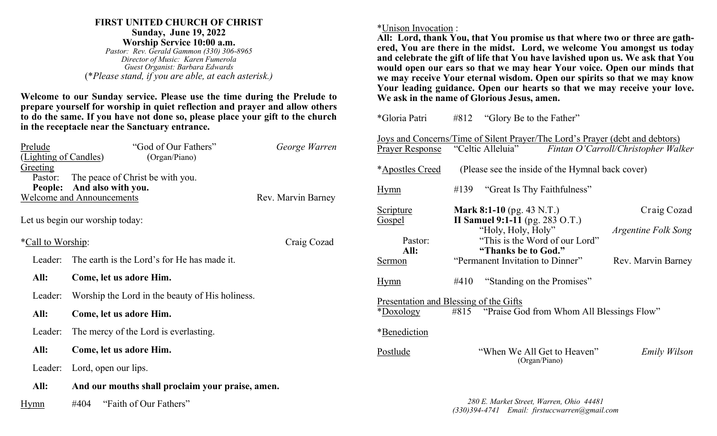### **FIRST UNITED CHURCH OF CHRIST Sunday, June 19, 2022 Worship Service 10:00 a.m.**

*Pastor: Rev. Gerald Gammon (330) 306-8965 Director of Music: Karen Fumerola Guest Organist: Barbara Edwards* (\**Please stand, if you are able, at each asterisk.)*

**Welcome to our Sunday service. Please use the time during the Prelude to prepare yourself for worship in quiet reflection and prayer and allow others to do the same. If you have not done so, please place your gift to the church in the receptacle near the Sanctuary entrance.**

| Prelude                                                | "God of Our Fathers"                             | George Warren |  |  |  |  |
|--------------------------------------------------------|--------------------------------------------------|---------------|--|--|--|--|
| (Lighting of Candles)<br>Greeting                      | (Organ/Piano)                                    |               |  |  |  |  |
| Pastor:                                                | The peace of Christ be with you.                 |               |  |  |  |  |
| And also with you.<br>People:                          |                                                  |               |  |  |  |  |
| <b>Welcome and Announcements</b><br>Rev. Marvin Barney |                                                  |               |  |  |  |  |
| Let us begin our worship today:                        |                                                  |               |  |  |  |  |
| <i>*Call to Worship:</i><br>Craig Cozad                |                                                  |               |  |  |  |  |
| Leader:                                                | The earth is the Lord's for He has made it.      |               |  |  |  |  |
| All:                                                   | Come, let us adore Him.                          |               |  |  |  |  |
| Leader:                                                | Worship the Lord in the beauty of His holiness.  |               |  |  |  |  |
| All:                                                   | Come, let us adore Him.                          |               |  |  |  |  |
| Leader:                                                | The mercy of the Lord is everlasting.            |               |  |  |  |  |
| All:                                                   | Come, let us adore Him.                          |               |  |  |  |  |
| Leader:                                                | Lord, open our lips.                             |               |  |  |  |  |
| All:                                                   | And our mouths shall proclaim your praise, amen. |               |  |  |  |  |
| Hymn                                                   | "Faith of Our Fathers"<br>#404                   |               |  |  |  |  |

\*Unison Invocation :

**All: Lord, thank You, that You promise us that where two or three are gathered, You are there in the midst. Lord, we welcome You amongst us today and celebrate the gift of life that You have lavished upon us. We ask that You would open our ears so that we may hear Your voice. Open our minds that we may receive Your eternal wisdom. Open our spirits so that we may know Your leading guidance. Open our hearts so that we may receive your love. We ask in the name of Glorious Jesus, amen.**

| *Gloria Patri                                                                                                         |      | $#812$ "Glory Be to the Father"                                                                                       |                                     |  |  |
|-----------------------------------------------------------------------------------------------------------------------|------|-----------------------------------------------------------------------------------------------------------------------|-------------------------------------|--|--|
| <b>Prayer Response</b>                                                                                                |      | <u>Joys and Concerns/Time of Silent Prayer/The Lord's Prayer (debt and debtors)</u><br>"Celtic Alleluia"              | Fintan O'Carroll/Christopher Walker |  |  |
| <i>*Apostles Creed</i>                                                                                                |      | (Please see the inside of the Hymnal back cover)                                                                      |                                     |  |  |
| Hymn                                                                                                                  | #139 | "Great Is Thy Faithfulness"                                                                                           |                                     |  |  |
| Scripture                                                                                                             |      | <b>Mark 8:1-10</b> (pg. 43 N.T.)                                                                                      | Craig Cozad                         |  |  |
| <b>Gospel</b><br>Pastor:<br>All:                                                                                      |      | <b>II Samuel 9:1-11</b> (pg. 283 O.T.)<br>"Holy, Holy, Holy"<br>"This is the Word of our Lord"<br>"Thanks be to God." | Argentine Folk Song                 |  |  |
| Sermon                                                                                                                |      | "Permanent Invitation to Dinner"                                                                                      | Rev. Marvin Barney                  |  |  |
| <u>Hymn</u>                                                                                                           | #410 | "Standing on the Promises"                                                                                            |                                     |  |  |
| Presentation and Blessing of the Gifts<br>#815 "Praise God from Whom All Blessings Flow"<br>*Doxology<br>*Benediction |      |                                                                                                                       |                                     |  |  |
| <b>Postlude</b>                                                                                                       |      | "When We All Get to Heaven"<br>(Organ/Piano)                                                                          | Emily Wilson                        |  |  |